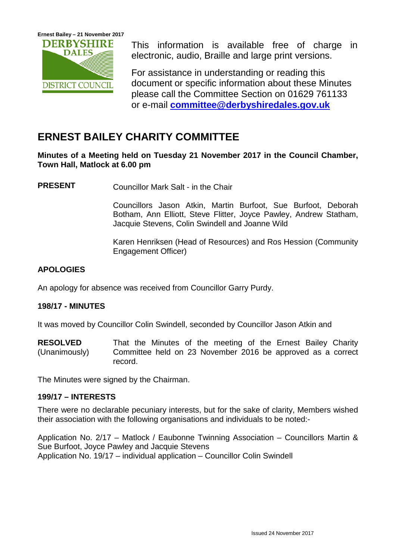

This information is available free of charge in electronic, audio, Braille and large print versions.

For assistance in understanding or reading this document or specific information about these Minutes please call the Committee Section on 01629 761133 or e-mail **[committee@derbyshiredales.gov.uk](mailto:committee@derbyshiredales.gov.uk)**

# **ERNEST BAILEY CHARITY COMMITTEE**

**Minutes of a Meeting held on Tuesday 21 November 2017 in the Council Chamber, Town Hall, Matlock at 6.00 pm**

**PRESENT** Councillor Mark Salt - in the Chair

Councillors Jason Atkin, Martin Burfoot, Sue Burfoot, Deborah Botham, Ann Elliott, Steve Flitter, Joyce Pawley, Andrew Statham, Jacquie Stevens, Colin Swindell and Joanne Wild

Karen Henriksen (Head of Resources) and Ros Hession (Community Engagement Officer)

# **APOLOGIES**

An apology for absence was received from Councillor Garry Purdy.

## **198/17 - MINUTES**

It was moved by Councillor Colin Swindell, seconded by Councillor Jason Atkin and

**RESOLVED** (Unanimously) That the Minutes of the meeting of the Ernest Bailey Charity Committee held on 23 November 2016 be approved as a correct record.

The Minutes were signed by the Chairman.

## **199/17 – INTERESTS**

There were no declarable pecuniary interests, but for the sake of clarity, Members wished their association with the following organisations and individuals to be noted:-

Application No. 2/17 – Matlock / Eaubonne Twinning Association – Councillors Martin & Sue Burfoot, Joyce Pawley and Jacquie Stevens Application No. 19/17 – individual application – Councillor Colin Swindell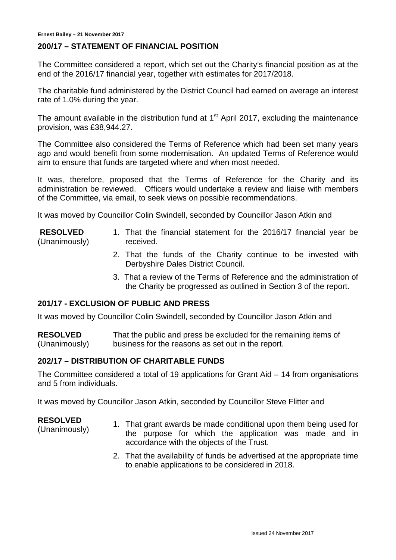#### **200/17 – STATEMENT OF FINANCIAL POSITION**

The Committee considered a report, which set out the Charity's financial position as at the end of the 2016/17 financial year, together with estimates for 2017/2018.

The charitable fund administered by the District Council had earned on average an interest rate of 1.0% during the year.

The amount available in the distribution fund at  $1<sup>st</sup>$  April 2017, excluding the maintenance provision, was £38,944.27.

The Committee also considered the Terms of Reference which had been set many years ago and would benefit from some modernisation. An updated Terms of Reference would aim to ensure that funds are targeted where and when most needed.

It was, therefore, proposed that the Terms of Reference for the Charity and its administration be reviewed. Officers would undertake a review and liaise with members of the Committee, via email, to seek views on possible recommendations.

It was moved by Councillor Colin Swindell, seconded by Councillor Jason Atkin and

#### **RESOLVED** (Unanimously)

- 1. That the financial statement for the 2016/17 financial year be received.
- 2. That the funds of the Charity continue to be invested with Derbyshire Dales District Council.
- 3. That a review of the Terms of Reference and the administration of the Charity be progressed as outlined in Section 3 of the report.

## **201/17 - EXCLUSION OF PUBLIC AND PRESS**

It was moved by Councillor Colin Swindell, seconded by Councillor Jason Atkin and

**RESOLVED** (Unanimously) That the public and press be excluded for the remaining items of business for the reasons as set out in the report.

#### **202/17 – DISTRIBUTION OF CHARITABLE FUNDS**

The Committee considered a total of 19 applications for Grant Aid – 14 from organisations and 5 from individuals.

It was moved by Councillor Jason Atkin, seconded by Councillor Steve Flitter and

#### **RESOLVED**

- (Unanimously) 1. That grant awards be made conditional upon them being used for the purpose for which the application was made and in accordance with the objects of the Trust.
	- 2. That the availability of funds be advertised at the appropriate time to enable applications to be considered in 2018.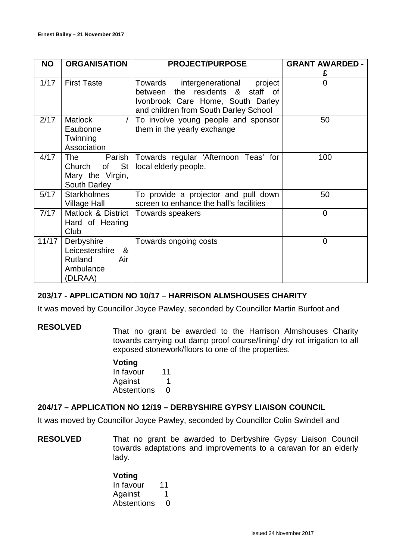| <b>NO</b> | <b>ORGANISATION</b> | <b>PROJECT/PURPOSE</b>                  | <b>GRANT AWARDED -</b> |
|-----------|---------------------|-----------------------------------------|------------------------|
|           |                     |                                         | £                      |
| 1/17      | <b>First Taste</b>  | intergenerational<br>Towards<br>project | 0                      |
|           |                     | the residents & staff of<br>between     |                        |
|           |                     | Ivonbrook Care Home, South Darley       |                        |
|           |                     | and children from South Darley School   |                        |
| 2/17      | <b>Matlock</b>      | To involve young people and sponsor     | 50                     |
|           | Eaubonne            | them in the yearly exchange             |                        |
|           | Twinning            |                                         |                        |
|           | Association         |                                         |                        |
| 4/17      | The<br>Parish       | Towards regular 'Afternoon Teas' for    | 100                    |
|           | St<br>Church<br>of  | local elderly people.                   |                        |
|           | Mary the Virgin,    |                                         |                        |
|           | South Darley        |                                         |                        |
| 5/17      | <b>Starkholmes</b>  | To provide a projector and pull down    | 50                     |
|           | <b>Village Hall</b> | screen to enhance the hall's facilities |                        |
| 7/17      | Matlock & District  | Towards speakers                        | 0                      |
|           | Hard of Hearing     |                                         |                        |
|           | Club                |                                         |                        |
| 11/17     | Derbyshire          | Towards ongoing costs                   | $\Omega$               |
|           | Leicestershire<br>& |                                         |                        |
|           | Rutland<br>Air      |                                         |                        |
|           | Ambulance           |                                         |                        |
|           | (DLRAA)             |                                         |                        |

## **203/17 - APPLICATION NO 10/17 – HARRISON ALMSHOUSES CHARITY**

It was moved by Councillor Joyce Pawley, seconded by Councillor Martin Burfoot and

**RESOLVED** That no grant be awarded to the Harrison Almshouses Charity towards carrying out damp proof course/lining/ dry rot irrigation to all exposed stonework/floors to one of the properties.

# **Voting**

In favour 11 Against 1 Abstentions 0

## **204/17 – APPLICATION NO 12/19 – DERBYSHIRE GYPSY LIAISON COUNCIL**

It was moved by Councillor Joyce Pawley, seconded by Councillor Colin Swindell and

**RESOLVED** That no grant be awarded to Derbyshire Gypsy Liaison Council towards adaptations and improvements to a caravan for an elderly lady.

> **Voting** In favour 11 Against 1 Abstentions 0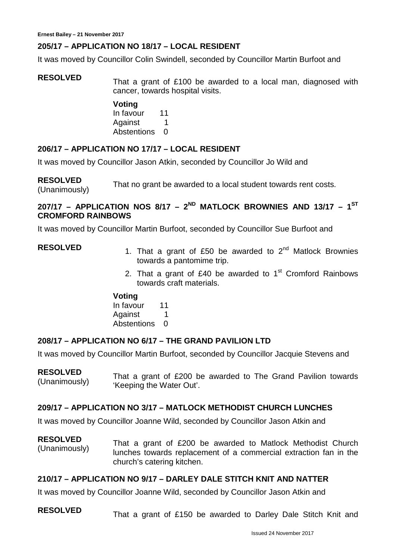# **205/17 – APPLICATION NO 18/17 – LOCAL RESIDENT**

It was moved by Councillor Colin Swindell, seconded by Councillor Martin Burfoot and

**RESOLVED** That a grant of £100 be awarded to a local man, diagnosed with cancer, towards hospital visits.

> **Voting** In favour 11 Against 1 Abstentions 0

## **206/17 – APPLICATION NO 17/17 – LOCAL RESIDENT**

It was moved by Councillor Jason Atkin, seconded by Councillor Jo Wild and

**RESOLVED** RESULVED<br>(Unanimously) That no grant be awarded to a local student towards rent costs.

# **207/17 – APPLICATION NOS 8/17 – 2ND MATLOCK BROWNIES AND 13/17 – 1ST CROMFORD RAINBOWS**

It was moved by Councillor Martin Burfoot, seconded by Councillor Sue Burfoot and

- **RESOLVED** 1. That a grant of £50 be awarded to 2<sup>nd</sup> Matlock Brownies towards a pantomime trip.
	- 2. That a grant of £40 be awarded to  $1<sup>st</sup>$  Cromford Rainbows towards craft materials.

#### **Voting**

In favour 11 Against 1 Abstentions 0

## **208/17 – APPLICATION NO 6/17 – THE GRAND PAVILION LTD**

It was moved by Councillor Martin Burfoot, seconded by Councillor Jacquie Stevens and

#### **RESOLVED**

**RESULVED**<br>(Unanimously) That a grant of £200 be awarded to The Grand Pavilion towards 'Keeping the Water Out'.

## **209/17 – APPLICATION NO 3/17 – MATLOCK METHODIST CHURCH LUNCHES**

It was moved by Councillor Joanne Wild, seconded by Councillor Jason Atkin and

**RESOLVED** (Unanimously) That a grant of £200 be awarded to Matlock Methodist Church lunches towards replacement of a commercial extraction fan in the church's catering kitchen.

## **210/17 – APPLICATION NO 9/17 – DARLEY DALE STITCH KNIT AND NATTER**

It was moved by Councillor Joanne Wild, seconded by Councillor Jason Atkin and

**RESOLVED** That a grant of £150 be awarded to Darley Dale Stitch Knit and